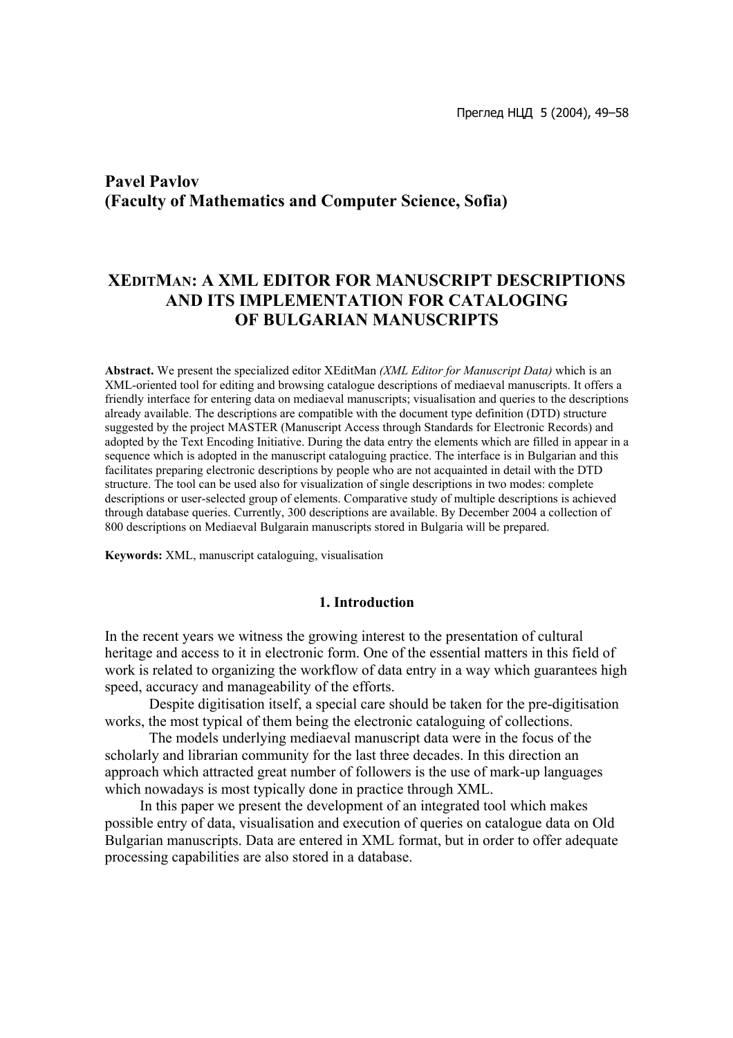# **Pavel Pavlov (Faculty of Mathematics and Computer Science, Sofia)**

## **XEDITMAN: A XML EDITOR FOR MANUSCRIPT DESCRIPTIONS AND ITS IMPLEMENTATION FOR CATALOGING OF BULGARIAN MANUSCRIPTS**

**Abstract.** We present the specialized editor XEditMan *(XML Editor for Manuscript Data)* which is an XML-oriented tool for editing and browsing catalogue descriptions of mediaeval manuscripts. It offers a friendly interface for entering data on mediaeval manuscripts; visualisation and queries to the descriptions already available. The descriptions are compatible with the document type definition (DTD) structure suggested by the project MASTER (Manuscript Access through Standards for Electronic Records) and adopted by the Text Encoding Initiative. During the data entry the elements which are filled in appear in a sequence which is adopted in the manuscript cataloguing practice. The interface is in Bulgarian and this facilitates preparing electronic descriptions by people who are not acquainted in detail with the DTD structure. The tool can be used also for visualization of single descriptions in two modes: complete descriptions or user-selected group of elements. Comparative study of multiple descriptions is achieved through database queries. Currently, 300 descriptions are available. By December 2004 a collection of 800 descriptions on Mediaeval Bulgarain manuscripts stored in Bulgaria will be prepared.

**Keywords:** XML, manuscript cataloguing, visualisation

#### **1. Introduction**

In the recent years we witness the growing interest to the presentation of cultural heritage and access to it in electronic form. One of the essential matters in this field of work is related to organizing the workflow of data entry in a way which guarantees high speed, accuracy and manageability of the efforts.

Despite digitisation itself, a special care should be taken for the pre-digitisation works, the most typical of them being the electronic cataloguing of collections.

The models underlying mediaeval manuscript data were in the focus of the scholarly and librarian community for the last three decades. In this direction an approach which attracted great number of followers is the use of mark-up languages which nowadays is most typically done in practice through XML.

In this paper we present the development of an integrated tool which makes possible entry of data, visualisation and execution of queries on catalogue data on Old Bulgarian manuscripts. Data are entered in XML format, but in order to offer adequate processing capabilities are also stored in a database.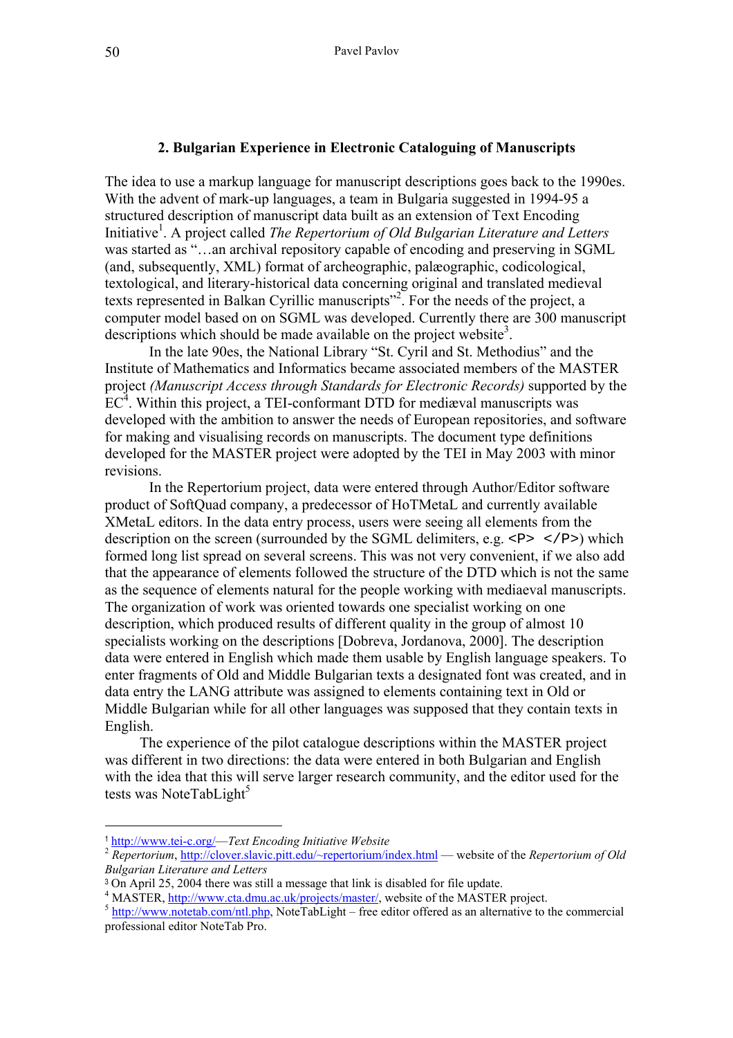#### **2. Bulgarian Experience in Electronic Cataloguing of Manuscripts**

The idea to use a markup language for manuscript descriptions goes back to the 1990es. With the advent of mark-up languages, a team in Bulgaria suggested in 1994-95 a structured description of manuscript data built as an extension of Text Encoding Initiative<sup>1</sup>. A project called *The Repertorium of Old Bulgarian Literature and Letters* was started as "…an archival repository capable of encoding and preserving in SGML (and, subsequently, XML) format of archeographic, palæographic, codicological, textological, and literary-historical data concerning original and translated medieval texts represented in Balkan Cyrillic manuscripts"<sup>[2](#page-1-1)</sup>. For the needs of the project, a computer model based on on SGML was developed. Currently there are 300 manuscript descriptions which should be made available on the project website<sup>[3](#page-1-2)</sup>.

In the late 90es, the National Library "St. Cyril and St. Methodius" and the Institute of Mathematics and Informatics became associated members of the MASTER project *(Manuscript Access through Standards for Electronic Records)* supported by the  $EC<sup>4</sup>$ . Within this project, a TEI-conformant DTD for mediaval manuscripts was developed with the ambition to answer the needs of European repositories, and software for making and visualising records on manuscripts. The document type definitions developed for the MASTER project were adopted by the TEI in May 2003 with minor revisions.

In the Repertorium project, data were entered through Author/Editor software product of SoftQuad company, a predecessor of HoTMetaL and currently available XMetaL editors. In the data entry process, users were seeing all elements from the description on the screen (surrounded by the SGML delimiters, e.g.  $\langle P \rangle$   $\langle P \rangle$ ) which formed long list spread on several screens. This was not very convenient, if we also add that the appearance of elements followed the structure of the DTD which is not the same as the sequence of elements natural for the people working with mediaeval manuscripts. The organization of work was oriented towards one specialist working on one description, which produced results of different quality in the group of almost 10 specialists working on the descriptions [Dobreva, Jordanova, 2000]. The description data were entered in English which made them usable by English language speakers. To enter fragments of Old and Middle Bulgarian texts a designated font was created, and in data entry the LANG attribute was assigned to elements containing text in Old or Middle Bulgarian while for all other languages was supposed that they contain texts in English.

The experience of the pilot catalogue descriptions within the MASTER project was different in two directions: the data were entered in both Bulgarian and English with the idea that this will serve larger research community, and the editor used for the tests was NoteTabLight<sup>[5](#page-1-4)</sup>

 $\overline{a}$ 

<span id="page-1-1"></span>

<span id="page-1-0"></span><sup>1</sup> [http://www.tei-c.org/—](http://www.tei-c.org/)*Text Encoding Initiative Website* <sup>2</sup> *Repertorium*, <http://clover.slavic.pitt.edu/~repertorium/index.html>— website of the *Repertorium of Old Bulgarian Literature and Letters*

<span id="page-1-2"></span><sup>3</sup> On April 25, 2004 there was still a message that link is disabled for file update.

<span id="page-1-3"></span><sup>&</sup>lt;sup>4</sup> MASTER, http://www.cta.dmu.ac.uk/projects/master/, website of the MASTER project.

<span id="page-1-4"></span> $^5$  <http://www.notetab.com/ntl.php>, NoteTabLight – free editor offered as an alternative to the commercial professional editor NoteTab Pro.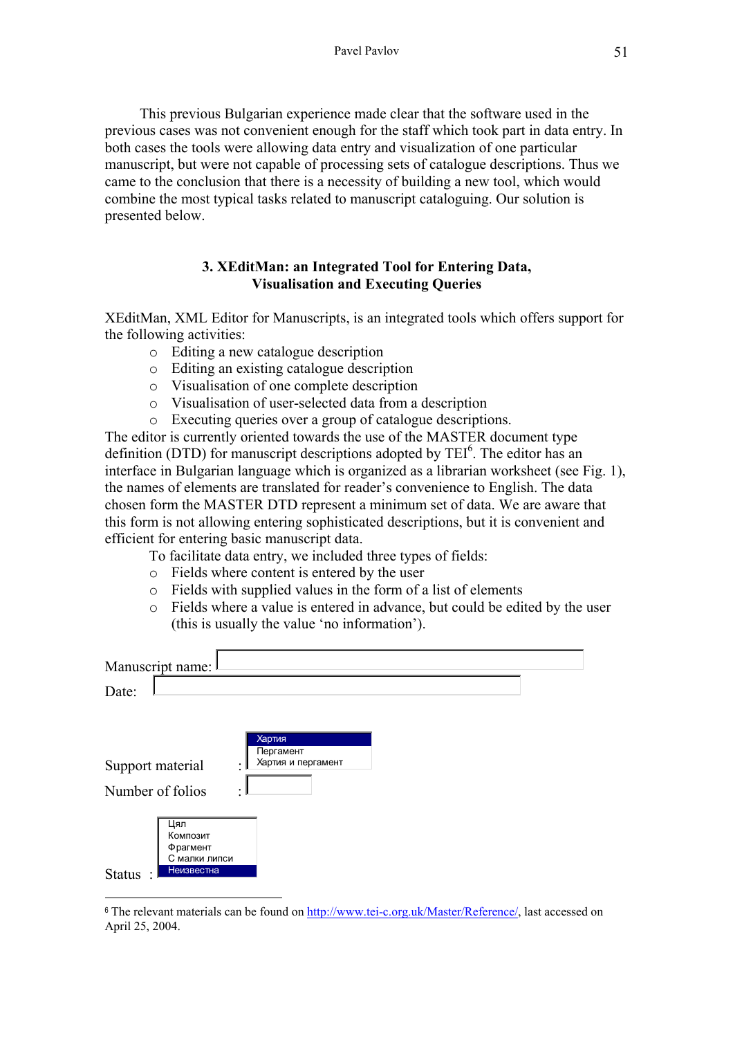This previous Bulgarian experience made clear that the software used in the previous cases was not convenient enough for the staff which took part in data entry. In both cases the tools were allowing data entry and visualization of one particular manuscript, but were not capable of processing sets of catalogue descriptions. Thus we came to the conclusion that there is a necessity of building a new tool, which would combine the most typical tasks related to manuscript cataloguing. Our solution is presented below.

## **3. XEditMan: an Integrated Tool for Entering Data, Visualisation and Executing Queries**

XEditMan, XML Editor for Manuscripts, is an integrated tools which offers support for the following activities:

- o Editing a new catalogue description
- o Editing an existing catalogue description
- o Visualisation of one complete description
- o Visualisation of user-selected data from a description
- o Executing queries over a group of catalogue descriptions.

The editor is currently oriented towards the use of the MASTER document type definition (DTD) for manuscript descriptions adopted by TEI<sup>6</sup>. The editor has an interface in Bulgarian language which is organized as a librarian worksheet (see Fig. 1), the names of elements are translated for reader's convenience to English. The data chosen form the MASTER DTD represent a minimum set of data. We are aware that this form is not allowing entering sophisticated descriptions, but it is convenient and efficient for entering basic manuscript data.

- To facilitate data entry, we included three types of fields:
- o Fields where content is entered by the user

 $\overline{a}$ 

- o Fields with supplied values in the form of a list of elements
- o Fields where a value is entered in advance, but could be edited by the user (this is usually the value 'no information').

| Manuscript name: I                                                          |                                                |
|-----------------------------------------------------------------------------|------------------------------------------------|
| Date:                                                                       |                                                |
| Support material<br>Number of folios                                        | Хартия<br>Пергамент<br>Хартия и пергамент<br>۰ |
| Цял<br>Композит<br>Фрагмент<br>С малки липси<br>Неизвестна<br><b>Status</b> |                                                |

<span id="page-2-0"></span><sup>6</sup> The relevant materials can be found on [http://www.tei-c.org.uk/Master/Reference/,](http://www.tei-c.org.uk/Master/Reference/) last accessed on April 25, 2004.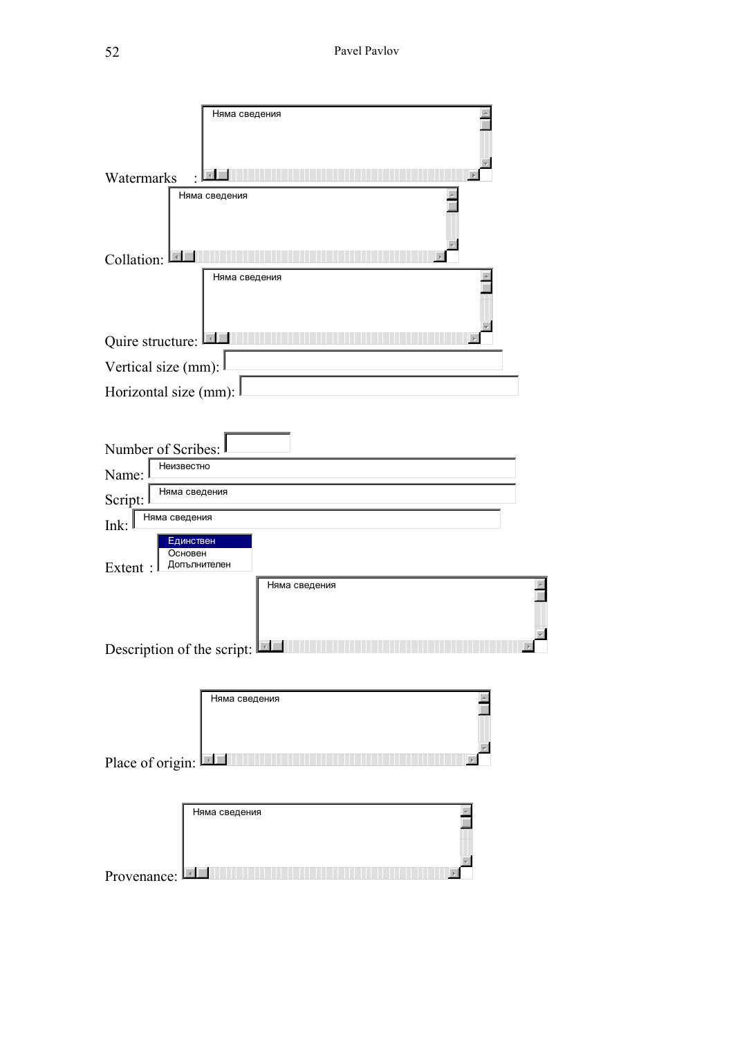| Няма сведения                                                   |  |
|-----------------------------------------------------------------|--|
| Watermarks                                                      |  |
| Няма сведения                                                   |  |
| Collation:                                                      |  |
| Няма сведения                                                   |  |
| Quire structure:                                                |  |
| Vertical size (mm):                                             |  |
| Horizontal size (mm):                                           |  |
| Number of Scribes:<br>Неизвестно<br>Name:                       |  |
| Няма сведения<br>Script:                                        |  |
| Няма сведения<br>Ink:                                           |  |
| Единствен<br>Основен<br>Допълнителен<br>Extent<br>Няма сведения |  |
| Description of the script:                                      |  |
|                                                                 |  |
| Няма сведения                                                   |  |
| Place of origin:<br>$\vert$ 4                                   |  |
|                                                                 |  |
| Няма сведения                                                   |  |
| Provenance                                                      |  |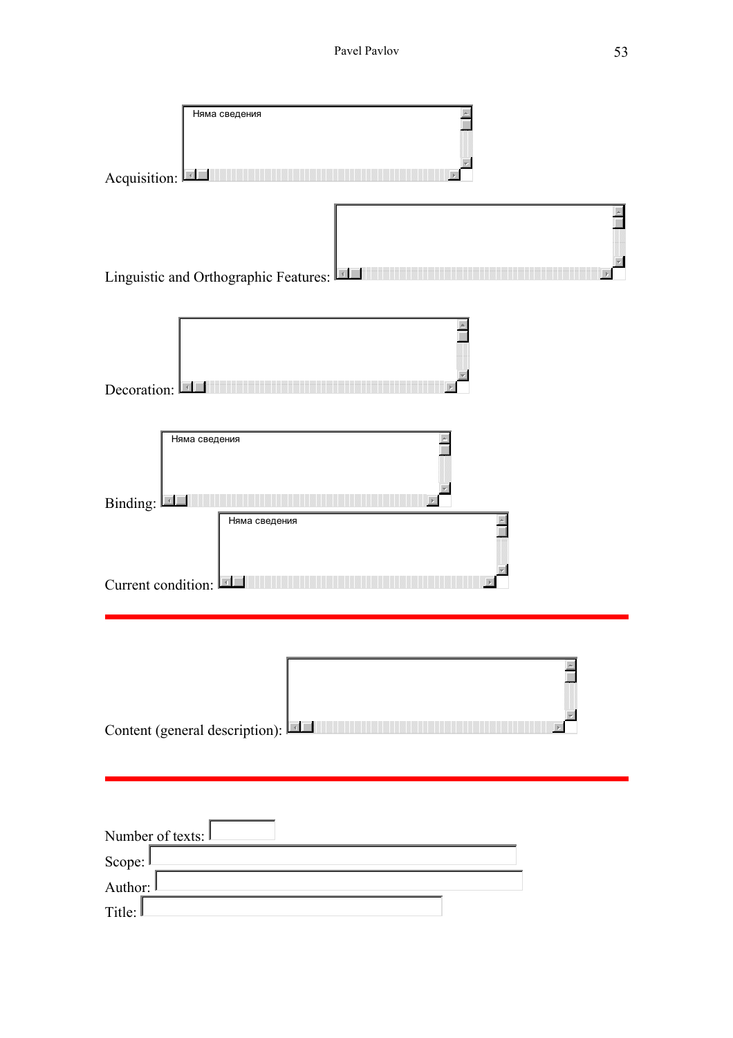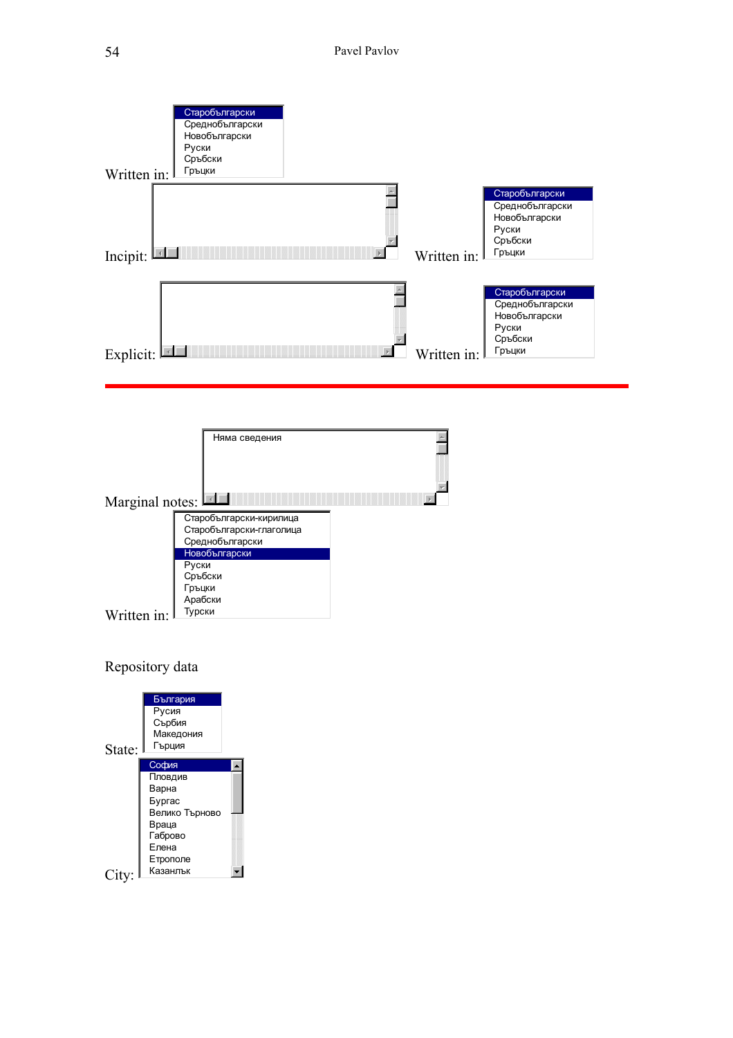



Repository data

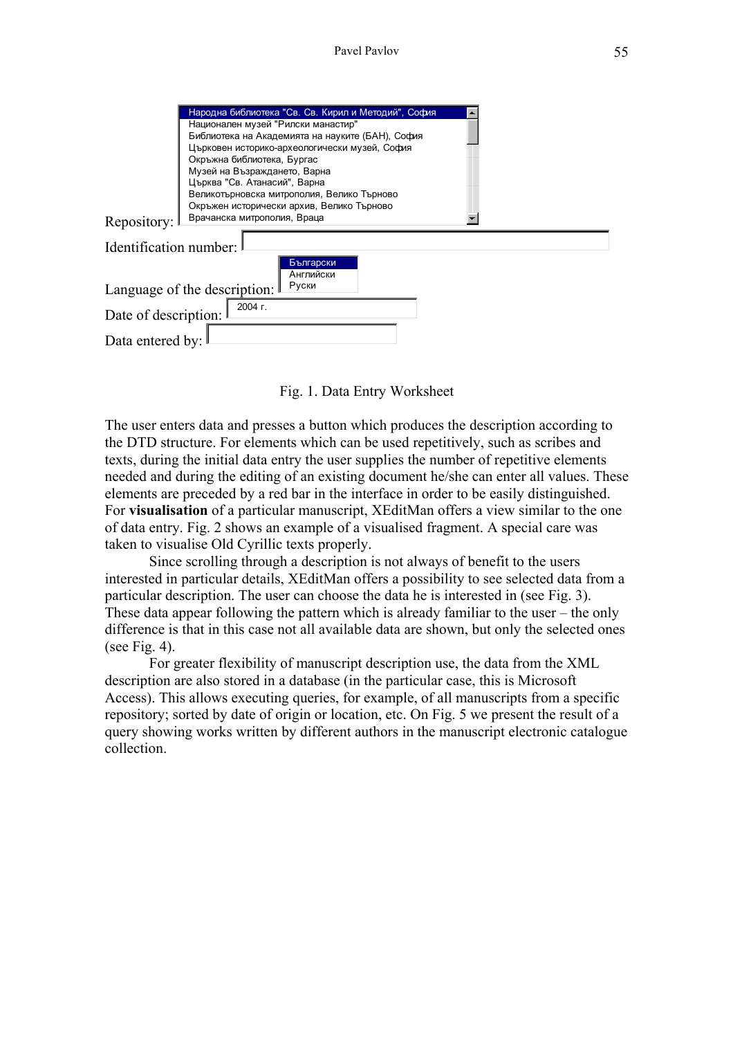|                                            | Народна библиотека "Св. Св. Кирил и Методий", София                                     |  |  |  |  |  |
|--------------------------------------------|-----------------------------------------------------------------------------------------|--|--|--|--|--|
|                                            | Национален музей "Рилски манастир"                                                      |  |  |  |  |  |
|                                            | Библиотека на Академията на науките (БАН), София                                        |  |  |  |  |  |
|                                            | Църковен историко-археологически музей, София                                           |  |  |  |  |  |
|                                            | Окръжна библиотека, Бургас                                                              |  |  |  |  |  |
|                                            | Музей на Възраждането, Варна                                                            |  |  |  |  |  |
|                                            | Църква "Св. Атанасий", Варна                                                            |  |  |  |  |  |
|                                            | Великотърновска митрополия, Велико Търново<br>Окръжен исторически архив, Велико Търново |  |  |  |  |  |
|                                            |                                                                                         |  |  |  |  |  |
| Врачанска митрополия, Враца<br>Repository: |                                                                                         |  |  |  |  |  |
|                                            |                                                                                         |  |  |  |  |  |
| Identification number:                     |                                                                                         |  |  |  |  |  |
|                                            | Български                                                                               |  |  |  |  |  |
|                                            | Английски                                                                               |  |  |  |  |  |
|                                            | Руски<br>Language of the description:                                                   |  |  |  |  |  |
|                                            |                                                                                         |  |  |  |  |  |
|                                            | 2004 г.                                                                                 |  |  |  |  |  |
|                                            |                                                                                         |  |  |  |  |  |
| Date of description:                       |                                                                                         |  |  |  |  |  |
| Data entered by:                           |                                                                                         |  |  |  |  |  |

Fig. 1. Data Entry Worksheet

The user enters data and presses a button which produces the description according to the DTD structure. For elements which can be used repetitively, such as scribes and texts, during the initial data entry the user supplies the number of repetitive elements needed and during the editing of an existing document he/she can enter all values. These elements are preceded by a red bar in the interface in order to be easily distinguished. For **visualisation** of a particular manuscript, XEditMan offers a view similar to the one of data entry. Fig. 2 shows an example of a visualised fragment. A special care was taken to visualise Old Cyrillic texts properly.

Since scrolling through a description is not always of benefit to the users interested in particular details, XEditMan offers a possibility to see selected data from a particular description. The user can choose the data he is interested in (see Fig. 3). These data appear following the pattern which is already familiar to the user – the only difference is that in this case not all available data are shown, but only the selected ones (see Fig. 4).

For greater flexibility of manuscript description use, the data from the XML description are also stored in a database (in the particular case, this is Microsoft Access). This allows executing queries, for example, of all manuscripts from a specific repository; sorted by date of origin or location, etc. On Fig. 5 we present the result of a query showing works written by different authors in the manuscript electronic catalogue collection.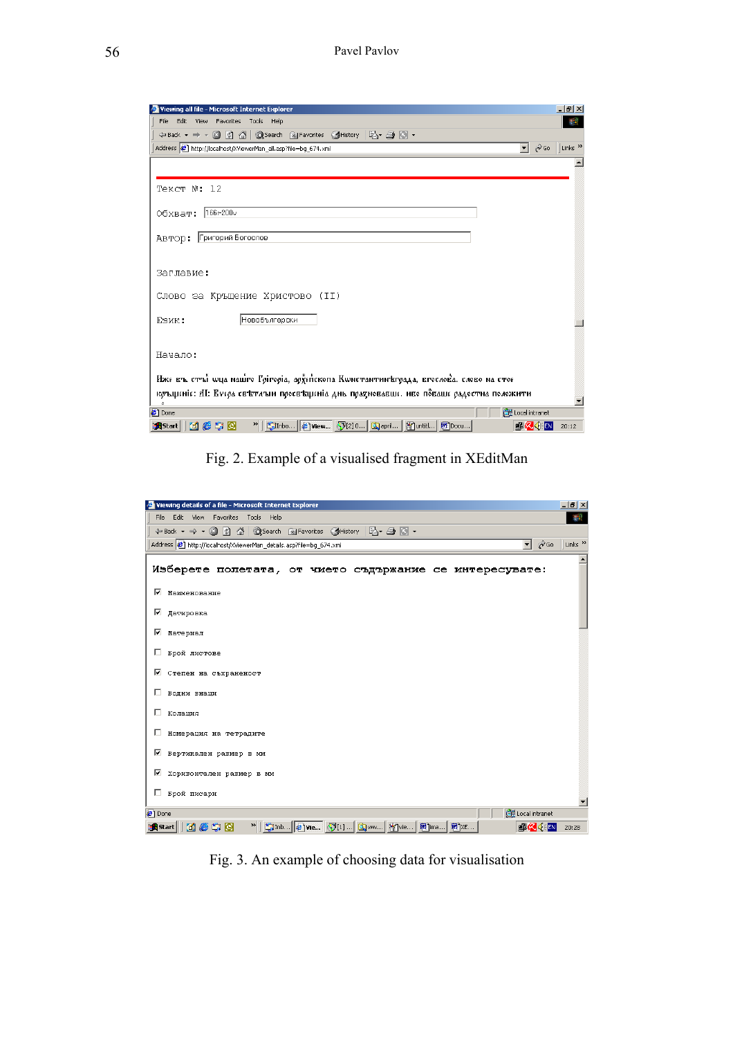| Viewing all file - Microsoft Internet Explorer                                                                           | $  B $ $\times$           |
|--------------------------------------------------------------------------------------------------------------------------|---------------------------|
| Edit<br>View Favorites Tools<br>File<br>Help                                                                             | 棚                         |
|                                                                                                                          |                           |
| Address   http://localhost/XViewerMan_all.asp?file=bg_674.xml<br>$\mathcal{C}$ Go<br>▾                                   | Links <sup>&gt;&gt;</sup> |
|                                                                                                                          |                           |
|                                                                                                                          |                           |
| TekcT №: 12                                                                                                              |                           |
|                                                                                                                          |                           |
| Обхват: 166г-200∨                                                                                                        |                           |
| Автор: Григорий Богослов                                                                                                 |                           |
|                                                                                                                          |                           |
|                                                                                                                          |                           |
| Заглавие:                                                                                                                |                           |
| Слово за Кръщение Христово (II)                                                                                          |                           |
|                                                                                                                          |                           |
| Новобългарски<br>ЕЗИК:                                                                                                   |                           |
|                                                                                                                          |                           |
| Начало:                                                                                                                  |                           |
|                                                                                                                          |                           |
| Иже въ стъї шца нашто Грігоріа, архейскопа Кшнстантинъграда, вгослова. слово на стое                                     |                           |
| коъщеніе: АІ: Ечера свътлъни просвъщеніа днь прадновавше. иво поваше радостна положити                                   |                           |
| ċ.                                                                                                                       |                           |
| <b>CHE</b> Local intranet<br><sup>2</sup> Done                                                                           |                           |
| 》   Ginbo   @ View   9 [2] 0   ③ april   图 untitl   图 Docu  <br><b>Metio</b><br>s <mark>k</mark> Start<br><b>卓久</b> (ドEN | 20:12                     |

Fig. 2. Example of a visualised fragment in XEditMan

|                 | Viewing details of a file - Microsoft Internet Explorer                                                                      | $- p $ $\times$           |
|-----------------|------------------------------------------------------------------------------------------------------------------------------|---------------------------|
| File:           | Edit View Favorites Tools Help                                                                                               | 糖                         |
|                 | ↓Back • ⇒ • ◎ ☑ 盗   ◎Search Favorites 《History   尾• △ ◎ •                                                                    |                           |
|                 | $\overline{\phantom{a}}$ $\phi$ Go<br>Address $\left  \right\rangle$ http://localhost/XViewerMan_details.asp?file=bq_674.xml | Links <sup>&gt;&gt;</sup> |
|                 | Изберете полетата, от чието съдържание се интересувате:                                                                      |                           |
| ☞               | Наименование                                                                                                                 |                           |
| ⊽               | Датировка                                                                                                                    |                           |
| ⊽               | Материал                                                                                                                     |                           |
| п               | Брой листове                                                                                                                 |                           |
| ⊽               | Степен на съхраненост                                                                                                        |                           |
| п.              | Водни знаци                                                                                                                  |                           |
|                 | Колация                                                                                                                      |                           |
| п               | Номерация на тетрадите                                                                                                       |                           |
| ⊽               | Вертикален размер в мм                                                                                                       |                           |
| ⊽               | Хоризонтален размер в им                                                                                                     |                           |
| п               | Брой писари                                                                                                                  |                           |
| <b>a</b> l Done | Local intranet                                                                                                               |                           |
|                 | 過Start   [1] @ 9 [3] @<br><b>GKKEN</b>                                                                                       | 20:28                     |

Fig. 3. An example of choosing data for visualisation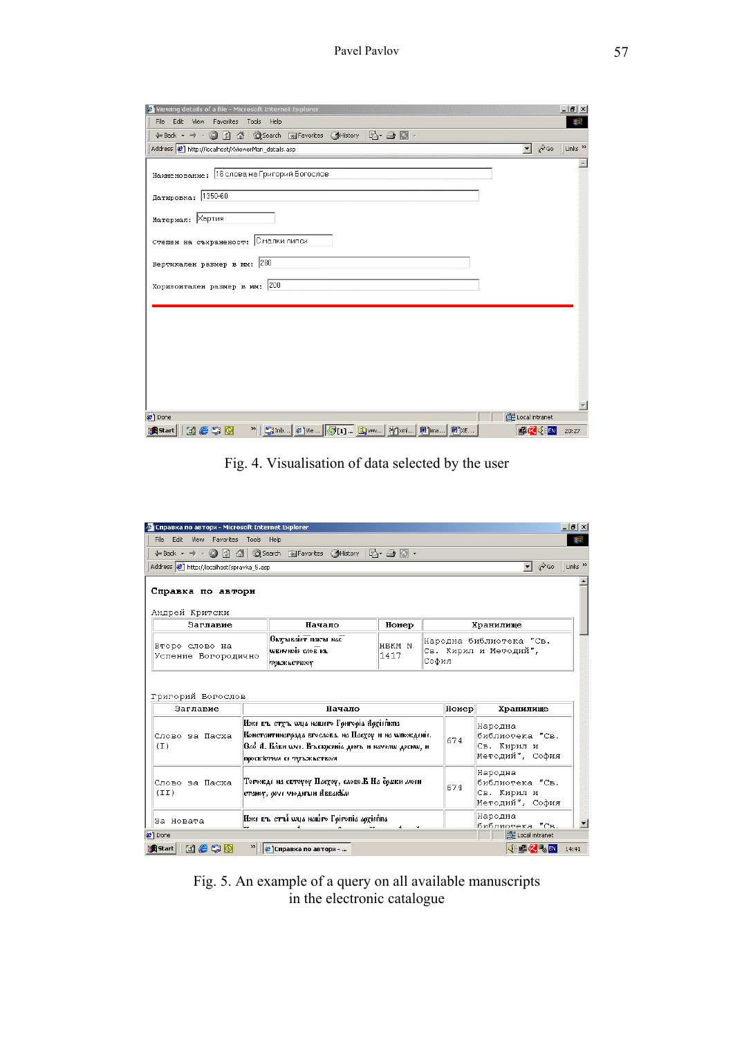| Viewing details of a file - Microsoft Internet Explorer      |                                         | $  E $ $\times$           |
|--------------------------------------------------------------|-----------------------------------------|---------------------------|
| File<br>Edit View Favorites Tools Help                       |                                         | 辑                         |
|                                                              |                                         |                           |
| Address <b>&amp;</b> http://localhost/XViewerMan_details.asp | $\mathcal{C}$ Go<br>$\vert \cdot \vert$ | Links <sup>&gt;&gt;</sup> |
| Наименование: 16 слова на Григорий Богослов                  |                                         |                           |
| Датировка: 1350-60                                           |                                         |                           |
| Материал: Хартия                                             |                                         |                           |
| Степен на съхраненост: Смалки липси                          |                                         |                           |
| Вертикален размер в мм: 280                                  |                                         |                           |
| Хоризонтален размер в мм: 200                                |                                         |                           |
|                                                              |                                         |                           |
|                                                              |                                         |                           |
|                                                              |                                         |                           |
|                                                              |                                         |                           |
|                                                              |                                         |                           |
| <sup>2</sup> ] Done                                          | Local intranet                          |                           |
| <b>Metio</b><br><b>B</b> istart                              | 事 <mark>么</mark> (三                     | 20:27                     |

Fig. 4. Visualisation of data selected by the user

| • Справка по автори - Microsoft Internet Explorer |                                                           |                                                                                |        |                                   |       |                                                          | $  \mathbb{Z}$ $\times$   |
|---------------------------------------------------|-----------------------------------------------------------|--------------------------------------------------------------------------------|--------|-----------------------------------|-------|----------------------------------------------------------|---------------------------|
| File                                              | Edit View Favorites Tools Help<br>酣                       |                                                                                |        |                                   |       |                                                          |                           |
|                                                   |                                                           |                                                                                |        |                                   |       |                                                          |                           |
| Address <b>B</b> http://localhost/spravka_5.asp   |                                                           |                                                                                |        |                                   |       | $\overline{\mathbf{v}}$ $\partial$ Go                    | Links <sup>&gt;&gt;</sup> |
|                                                   |                                                           |                                                                                |        |                                   |       |                                                          |                           |
| Справка по автори                                 |                                                           |                                                                                |        |                                   |       |                                                          |                           |
|                                                   |                                                           |                                                                                |        |                                   |       |                                                          |                           |
| Андрей Критски                                    |                                                           |                                                                                |        |                                   |       |                                                          |                           |
| Заглавие                                          |                                                           | Начало                                                                         | Номер  |                                   |       | Хранилище                                                |                           |
| Второ слово на                                    | $\theta$ ьзтываів $\overline{r}$ пакты нас $\overline{r}$ |                                                                                | HEKM N |                                   |       | Народна библиотека "Св.                                  |                           |
| Успение Богородично                               | WERY NOTE CAOE KN                                         |                                                                                | 1417   | Св. Кирил и Методий",             |       |                                                          |                           |
|                                                   | <b>ТОКЖКСТЕФУ</b>                                         |                                                                                |        | София                             |       |                                                          |                           |
|                                                   |                                                           |                                                                                |        |                                   |       |                                                          |                           |
|                                                   |                                                           |                                                                                |        |                                   |       |                                                          |                           |
| Григорий Богослов                                 |                                                           |                                                                                |        |                                   |       |                                                          |                           |
| Заглавие                                          |                                                           | Начало                                                                         |        |                                   | Номер | Хранилище                                                |                           |
|                                                   | Иже въ стуъ wya нашего Гонгоріа Архіепкиа                 |                                                                                |        |                                   |       | Народна                                                  |                           |
| Слово за Пасха                                    | Константинагодда вгослова. на Пасхоу и на wroжденіе.      |                                                                                |        |                                   | 674   | библиотека "Св.                                          |                           |
| (T)                                               |                                                           | Сло А. Блен wys. Еъскрезніл двиъ и начелю десню, и<br>просветним се тръжьством |        |                                   |       | Св. Кирил и                                              |                           |
|                                                   |                                                           |                                                                                |        |                                   |       | Методий", София                                          |                           |
|                                                   |                                                           |                                                                                |        |                                   |       | Народна                                                  |                           |
| Слово за Пасха                                    |                                                           | Тогожде на свтоуоу Пасхоу, слово.В На сражи моен<br>674                        |        |                                   |       | библиотека "Св.                                          |                           |
| (TI)                                              |                                                           | станоу, обче чюдитын АввакКм                                                   |        |                                   |       | Св. Кирил и                                              |                           |
|                                                   |                                                           |                                                                                |        |                                   |       | Методий", София                                          |                           |
| За Новата                                         | Иже въ стъї wya нашто Гоігопіа архіеппа                   |                                                                                |        | Народна                           |       |                                                          |                           |
|                                                   |                                                           |                                                                                |        | библиотека "Св.<br>Local intranet |       |                                                          |                           |
| <b>∉</b> 1 Done                                   |                                                           |                                                                                |        |                                   |       |                                                          |                           |
| <b>Metio</b><br>s <sup>1</sup> iStart             | <b>Справка по автори - </b>                               |                                                                                |        |                                   |       | $\mathcal{A}\in\mathbb{R}$ $\mathbb{Z}$ $\mathbb{Z}$ and | 14:41                     |

Fig. 5. An example of a query on all available manuscripts in the electronic catalogue